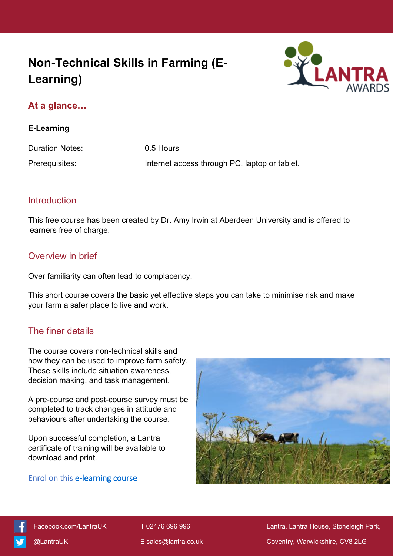# **Non-Technical Skills in Farming (E-Learning)**



## **At a glance…**

#### **E-Learning**

Duration Notes: 0.5 Hours Prerequisites: Internet access through PC, laptop or tablet.

### Introduction

This free course has been created by Dr. Amy Irwin at Aberdeen University and is offered to learners free of charge.

### Overview in brief

Over familiarity can often lead to complacency.

This short course covers the basic yet effective steps you can take to minimise risk and make your farm a safer place to live and work.

# The finer details

The course covers non-technical skills and how they can be used to improve farm safety. These skills include situation awareness, decision making, and task management.

A pre-course and post-course survey must be completed to track changes in attitude and behaviours after undertaking the course.

Upon successful completion, a Lantra certificate of training will be available to download and print.

## **Enrol on this [e-learning course](https://elearning.lantra.co.uk/search/36)**





[Facebook.com/LantraUK](https://www.facebook.com/LantraUK/) T 02476 696 996 Lantra, Lantra, Lantra House, Stoneleigh Park, [@LantraUK](http://www.twitter.com/lantrauk) E [sales@lantra.co.uk](mailto:sales@lantra.co.uk) Coventry, Warwickshire, CV8 2LG